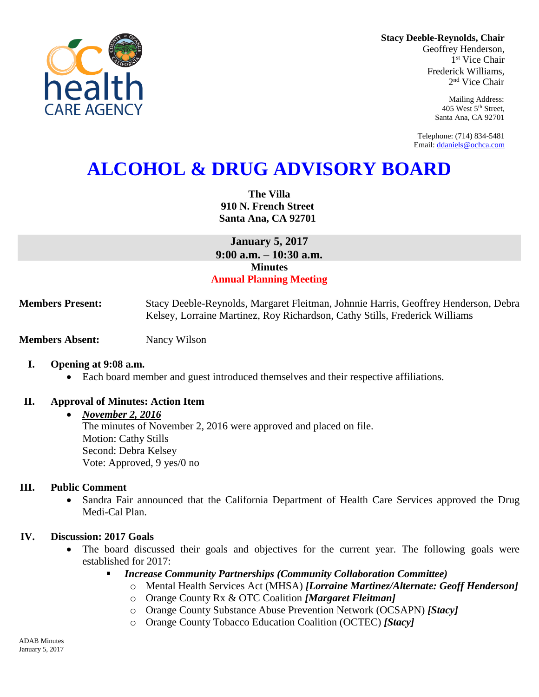

**Stacy Deeble-Reynolds, Chair**

Geoffrey Henderson, 1 st Vice Chair Frederick Williams, 2 nd Vice Chair

> Mailing Address: 405 West 5th Street, Santa Ana, CA 92701

Telephone: (714) 834-5481 Email[: ddaniels@ochca.com](mailto:ddaniels@ochca.com)

# **ALCOHOL & DRUG ADVISORY BOARD**

**The Villa 910 N. French Street Santa Ana, CA 92701**

**January 5, 2017 9:00 a.m. – 10:30 a.m. Minutes Annual Planning Meeting**

**Members Present:** Stacy Deeble-Reynolds, Margaret Fleitman, Johnnie Harris, Geoffrey Henderson, Debra Kelsey, Lorraine Martinez, Roy Richardson, Cathy Stills, Frederick Williams

**Members Absent:** Nancy Wilson

#### **I. Opening at 9:08 a.m.**

Each board member and guest introduced themselves and their respective affiliations.

#### **II. Approval of Minutes: Action Item**

#### *November 2, 2016*

The minutes of November 2, 2016 were approved and placed on file. Motion: Cathy Stills Second: Debra Kelsey Vote: Approved, 9 yes/0 no

#### **III. Public Comment**

 Sandra Fair announced that the California Department of Health Care Services approved the Drug Medi-Cal Plan.

#### **IV. Discussion: 2017 Goals**

- The board discussed their goals and objectives for the current year. The following goals were established for 2017:
	- *Increase Community Partnerships (Community Collaboration Committee)* 
		- o Mental Health Services Act (MHSA) *[Lorraine Martinez/Alternate: Geoff Henderson]*
		- o Orange County Rx & OTC Coalition *[Margaret Fleitman]*
		- o Orange County Substance Abuse Prevention Network (OCSAPN) *[Stacy]*
		- o Orange County Tobacco Education Coalition (OCTEC) *[Stacy]*